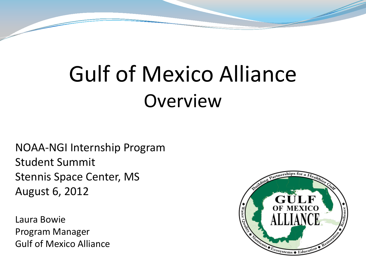## Gulf of Mexico Alliance **Overview**

NOAA-NGI Internship Program Student Summit Stennis Space Center, MS August 6, 2012

Laura Bowie Program Manager Gulf of Mexico Alliance

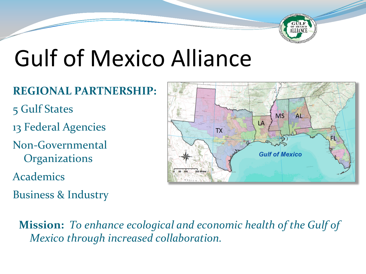

## Gulf of Mexico Alliance

#### **REGIONAL PARTNERSHIP:**

- 5 Gulf States
- 13 Federal Agencies
- Non-Governmental **Organizations**
- Academics
- Business & Industry



 **Mission:** *To enhance ecological and economic health of the Gulf of Mexico through increased collaboration.*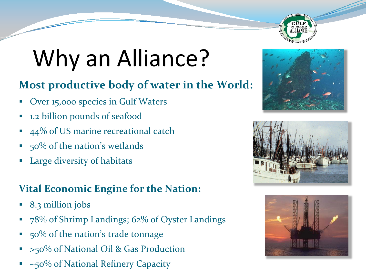

# Why an Alliance?

#### **Most productive body of water in the World:**

- Over 15,000 species in Gulf Waters
- 1.2 billion pounds of seafood
- 44% of US marine recreational catch
- 50% of the nation's wetlands
- Large diversity of habitats

#### **Vital Economic Engine for the Nation:**

- 8.3 million jobs
- 78% of Shrimp Landings; 62% of Oyster Landings
- 50% of the nation's trade tonnage
- >50% of National Oil & Gas Production
- ~50% of National Refinery Capacity





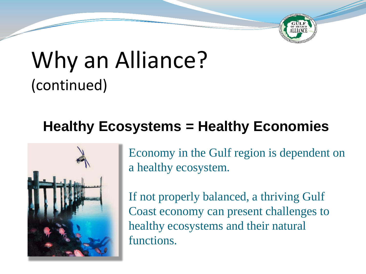

### Why an Alliance? (continued)

### **Healthy Ecosystems = Healthy Economies**



Economy in the Gulf region is dependent on a healthy ecosystem.

If not properly balanced, a thriving Gulf Coast economy can present challenges to healthy ecosystems and their natural functions.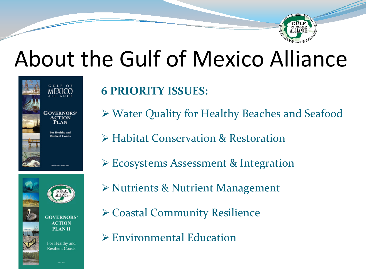

## About the Gulf of Mexico Alliance



**GOVERNORS'** ACTION **PLAN II** 

**Resilient Coasts** 

#### **6 PRIORITY ISSUES:**

- Water Quality for Healthy Beaches and Seafood
- Habitat Conservation & Restoration
- Ecosystems Assessment & Integration
- Nutrients & Nutrient Management
- Coastal Community Resilience
- For Healthy and
	- Environmental Education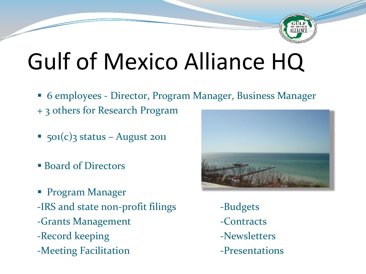

## Gulf of Mexico Alliance HQ

- 6 employees Director, Program Manager, Business Manager
- + 3 others for Research Program
- 501(c)3 status August 2011
- Board of Directors
- **Program Manager** -IRS and state non-profit filings -Budgets -Grants Management **-Contracts** -Record keeping and a set of  $\sim$  -Newsletters -Meeting Facilitation **-Presentations**

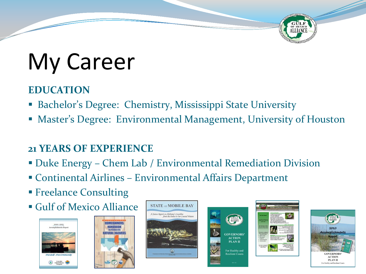# My Career

#### **EDUCATION**

- Bachelor's Degree: Chemistry, Mississippi State University
- Master's Degree: Environmental Management, University of Houston

#### **21 YEARS OF EXPERIENCE**

- Duke Energy Chem Lab / Environmental Remediation Division
- Continental Airlines Environmental Affairs Department
- **Freelance Consulting**
- Gulf of Mexico Alliance